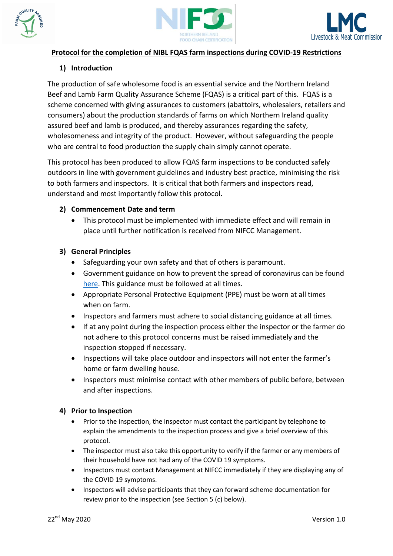





## **Protocol for the completion of NIBL FQAS farm inspections during COVID-19 Restrictions**

# **1) Introduction**

The production of safe wholesome food is an essential service and the Northern Ireland Beef and Lamb Farm Quality Assurance Scheme (FQAS) is a critical part of this. FQAS is a scheme concerned with giving assurances to customers (abattoirs, wholesalers, retailers and consumers) about the production standards of farms on which Northern Ireland quality assured beef and lamb is produced, and thereby assurances regarding the safety, wholesomeness and integrity of the product. However, without safeguarding the people who are central to food production the supply chain simply cannot operate.

This protocol has been produced to allow FQAS farm inspections to be conducted safely outdoors in line with government guidelines and industry best practice, minimising the risk to both farmers and inspectors. It is critical that both farmers and inspectors read, understand and most importantly follow this protocol.

## **2) Commencement Date and term**

 This protocol must be implemented with immediate effect and will remain in place until further notification is received from NIFCC Management.

# **3) General Principles**

- Safeguarding your own safety and that of others is paramount.
- Government guidance on how to prevent the spread of coronavirus can be found [here.](https://www.nidirect.gov.uk/articles/coronavirus-covid-19-overview-and-advice) This guidance must be followed at all times.
- Appropriate Personal Protective Equipment (PPE) must be worn at all times when on farm.
- Inspectors and farmers must adhere to social distancing guidance at all times.
- If at any point during the inspection process either the inspector or the farmer do not adhere to this protocol concerns must be raised immediately and the inspection stopped if necessary.
- Inspections will take place outdoor and inspectors will not enter the farmer's home or farm dwelling house.
- Inspectors must minimise contact with other members of public before, between and after inspections.

# **4) Prior to Inspection**

- Prior to the inspection, the inspector must contact the participant by telephone to explain the amendments to the inspection process and give a brief overview of this protocol.
- The inspector must also take this opportunity to verify if the farmer or any members of their household have not had any of the COVID 19 symptoms.
- Inspectors must contact Management at NIFCC immediately if they are displaying any of the COVID 19 symptoms.
- Inspectors will advise participants that they can forward scheme documentation for review prior to the inspection (see Section 5 (c) below).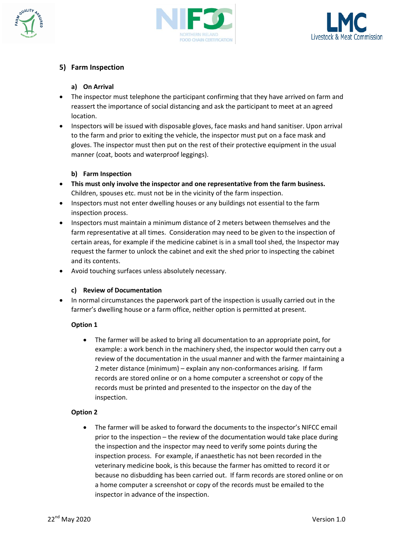





## **5) Farm Inspection**

### **a) On Arrival**

- The inspector must telephone the participant confirming that they have arrived on farm and reassert the importance of social distancing and ask the participant to meet at an agreed location.
- Inspectors will be issued with disposable gloves, face masks and hand sanitiser. Upon arrival to the farm and prior to exiting the vehicle, the inspector must put on a face mask and gloves. The inspector must then put on the rest of their protective equipment in the usual manner (coat, boots and waterproof leggings).

### **b) Farm Inspection**

- **This must only involve the inspector and one representative from the farm business.**  Children, spouses etc. must not be in the vicinity of the farm inspection.
- Inspectors must not enter dwelling houses or any buildings not essential to the farm inspection process.
- Inspectors must maintain a minimum distance of 2 meters between themselves and the farm representative at all times. Consideration may need to be given to the inspection of certain areas, for example if the medicine cabinet is in a small tool shed, the Inspector may request the farmer to unlock the cabinet and exit the shed prior to inspecting the cabinet and its contents.
- Avoid touching surfaces unless absolutely necessary.

### **c) Review of Documentation**

 In normal circumstances the paperwork part of the inspection is usually carried out in the farmer's dwelling house or a farm office, neither option is permitted at present.

### **Option 1**

 The farmer will be asked to bring all documentation to an appropriate point, for example: a work bench in the machinery shed, the inspector would then carry out a review of the documentation in the usual manner and with the farmer maintaining a 2 meter distance (minimum) – explain any non-conformances arising. If farm records are stored online or on a home computer a screenshot or copy of the records must be printed and presented to the inspector on the day of the inspection.

### **Option 2**

 The farmer will be asked to forward the documents to the inspector's NIFCC email prior to the inspection – the review of the documentation would take place during the inspection and the inspector may need to verify some points during the inspection process. For example, if anaesthetic has not been recorded in the veterinary medicine book, is this because the farmer has omitted to record it or because no disbudding has been carried out. If farm records are stored online or on a home computer a screenshot or copy of the records must be emailed to the inspector in advance of the inspection.